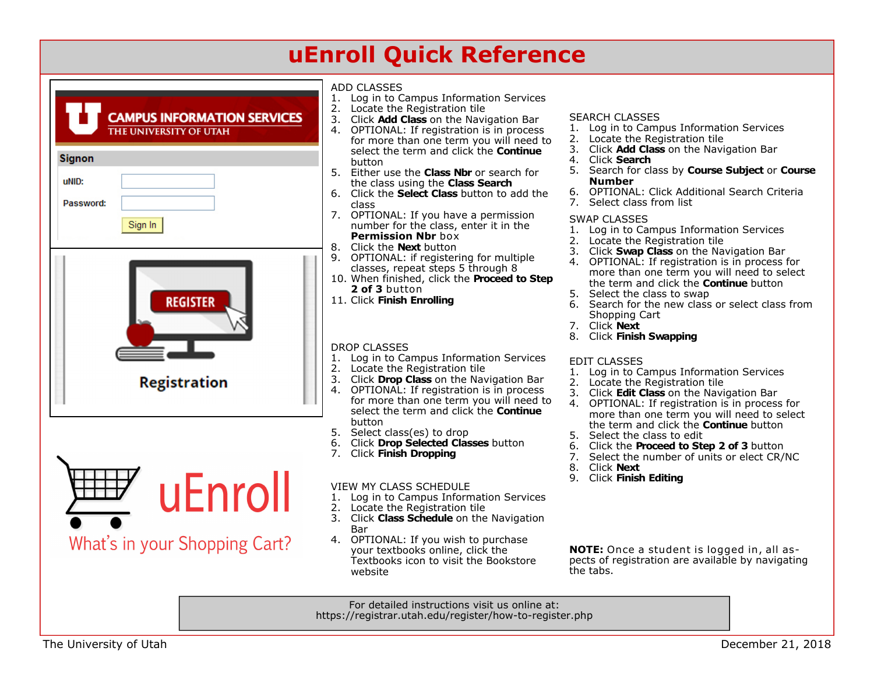